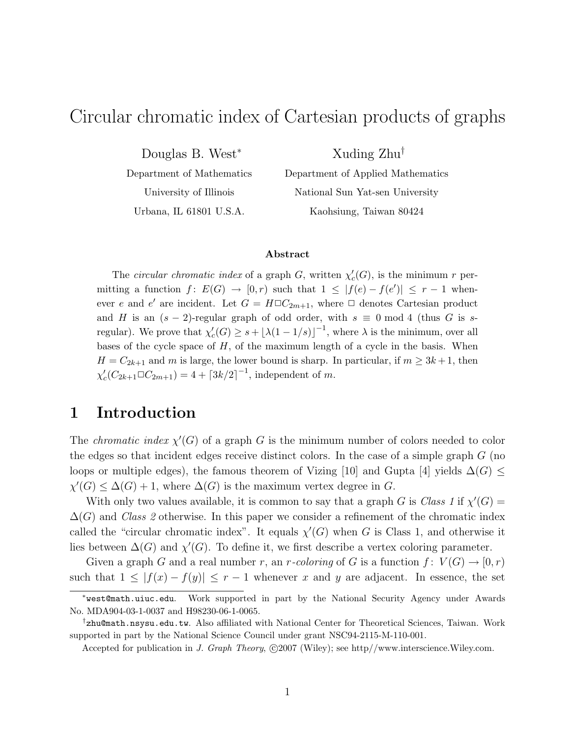# Circular chromatic index of Cartesian products of graphs

Douglas B. West<sup>∗</sup>

Department of Mathematics University of Illinois Urbana, IL 61801 U.S.A.

Department of Applied Mathematics National Sun Yat-sen University Kaohsiung, Taiwan 80424

Xuding Zhu†

#### Abstract

The *circular chromatic index* of a graph  $G$ , written  $\chi'$  $c'(G)$ , is the minimum r permitting a function  $f: E(G) \to [0,r)$  such that  $1 \leq |f(e) - f(e')| \leq r - 1$  whenever e and e' are incident. Let  $G = H \square C_{2m+1}$ , where  $\square$  denotes Cartesian product and H is an  $(s-2)$ -regular graph of odd order, with  $s \equiv 0 \mod 4$  (thus G is sregular). We prove that  $\chi'_{c}$  $c'_{c}(G) \geq s + \lfloor \lambda (1 - 1/s) \rfloor^{-1}$ , where  $\lambda$  is the minimum, over all bases of the cycle space of  $H$ , of the maximum length of a cycle in the basis. When  $H = C_{2k+1}$  and m is large, the lower bound is sharp. In particular, if  $m \geq 3k+1$ , then χ ′  $c'_{c}(C_{2k+1}\square C_{2m+1})=4+\lceil 3k/2\rceil ^{-1}$ , independent of m.

### 1 Introduction

The *chromatic index*  $\chi'(G)$  of a graph G is the minimum number of colors needed to color the edges so that incident edges receive distinct colors. In the case of a simple graph  $G$  (no loops or multiple edges), the famous theorem of Vizing [10] and Gupta [4] yields  $\Delta(G) \leq$  $\chi'(G) \leq \Delta(G) + 1$ , where  $\Delta(G)$  is the maximum vertex degree in G.

With only two values available, it is common to say that a graph G is Class 1 if  $\chi'(G)$  =  $\Delta(G)$  and Class 2 otherwise. In this paper we consider a refinement of the chromatic index called the "circular chromatic index". It equals  $\chi'(G)$  when G is Class 1, and otherwise it lies between  $\Delta(G)$  and  $\chi'(G)$ . To define it, we first describe a vertex coloring parameter.

Given a graph G and a real number r, an r-coloring of G is a function  $f: V(G) \to [0, r)$ such that  $1 \leq |f(x) - f(y)| \leq r - 1$  whenever x and y are adjacent. In essence, the set

<sup>∗</sup>west@math.uiuc.edu. Work supported in part by the National Security Agency under Awards No. MDA904-03-1-0037 and H98230-06-1-0065.

<sup>†</sup>zhu@math.nsysu.edu.tw. Also affiliated with National Center for Theoretical Sciences, Taiwan. Work supported in part by the National Science Council under grant NSC94-2115-M-110-001.

Accepted for publication in J. Graph Theory,  $\odot$ 2007 (Wiley); see http//www.interscience.Wiley.com.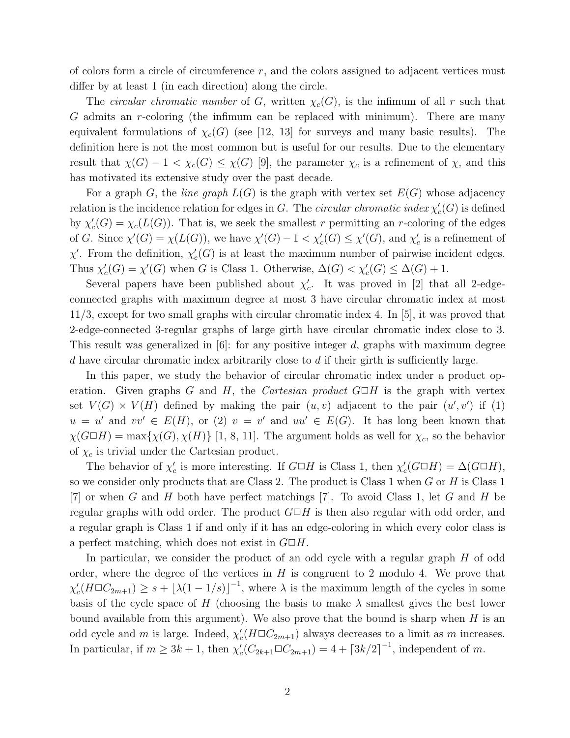of colors form a circle of circumference  $r$ , and the colors assigned to adjacent vertices must differ by at least 1 (in each direction) along the circle.

The *circular chromatic number* of G, written  $\chi_c(G)$ , is the infimum of all r such that G admits an r-coloring (the infimum can be replaced with minimum). There are many equivalent formulations of  $\chi_c(G)$  (see [12, 13] for surveys and many basic results). The definition here is not the most common but is useful for our results. Due to the elementary result that  $\chi(G) - 1 < \chi_c(G) \leq \chi(G)$  [9], the parameter  $\chi_c$  is a refinement of  $\chi$ , and this has motivated its extensive study over the past decade.

For a graph G, the *line graph*  $L(G)$  is the graph with vertex set  $E(G)$  whose adjacency relation is the incidence relation for edges in G. The *circular chromatic index*  $\chi'$  $c'(G)$  is defined by  $\chi'$  $c'_{c}(G) = \chi_{c}(L(G))$ . That is, we seek the smallest r permitting an r-coloring of the edges of G. Since  $\chi'(G) = \chi(L(G))$ , we have  $\chi'(G) - 1 < \chi'_c(G) \leq \chi'(G)$ , and  $\chi'_c$  $c<sub>c</sub>$  is a refinement of  $\chi'$ . From the definition,  $\chi'$  $c'_{c}(G)$  is at least the maximum number of pairwise incident edges. Thus  $\chi'$  $\chi'_{c}(G) = \chi'(G)$  when G is Class 1. Otherwise,  $\Delta(G) < \chi'_{c}(G) \leq \Delta(G) + 1$ .

Several papers have been published about  $\chi'$  $c'$ . It was proved in [2] that all 2-edgeconnected graphs with maximum degree at most 3 have circular chromatic index at most 11/3, except for two small graphs with circular chromatic index 4. In [5], it was proved that 2-edge-connected 3-regular graphs of large girth have circular chromatic index close to 3. This result was generalized in  $[6]$ : for any positive integer d, graphs with maximum degree d have circular chromatic index arbitrarily close to  $d$  if their girth is sufficiently large.

In this paper, we study the behavior of circular chromatic index under a product operation. Given graphs G and H, the Cartesian product  $G \Box H$  is the graph with vertex set  $V(G) \times V(H)$  defined by making the pair  $(u, v)$  adjacent to the pair  $(u', v')$  if (1)  $u = u'$  and  $vv' \in E(H)$ , or (2)  $v = v'$  and  $uu' \in E(G)$ . It has long been known that  $\chi(G \Box H) = \max{\chi(G), \chi(H)}$  [1, 8, 11]. The argument holds as well for  $\chi_c$ , so the behavior of  $\chi_c$  is trivial under the Cartesian product.

The behavior of  $\chi'$  $\chi'_{c}$  is more interesting. If  $G \Box H$  is Class 1, then  $\chi'_{c}$  $c'_{c}(G\Box H) = \Delta(G\Box H),$ so we consider only products that are Class 2. The product is Class 1 when  $G$  or  $H$  is Class 1  $[7]$  or when G and H both have perfect matchings  $[7]$ . To avoid Class 1, let G and H be regular graphs with odd order. The product  $G \square H$  is then also regular with odd order, and a regular graph is Class 1 if and only if it has an edge-coloring in which every color class is a perfect matching, which does not exist in  $G \square H$ .

In particular, we consider the product of an odd cycle with a regular graph H of odd order, where the degree of the vertices in  $H$  is congruent to 2 modulo 4. We prove that χ ′  $c'_{c}(H \square C_{2m+1}) \geq s + \lfloor \lambda (1-1/s) \rfloor^{-1}$ , where  $\lambda$  is the maximum length of the cycles in some basis of the cycle space of H (choosing the basis to make  $\lambda$  smallest gives the best lower bound available from this argument). We also prove that the bound is sharp when  $H$  is an odd cycle and m is large. Indeed,  $\chi'$  $c'(H \square C_{2m+1})$  always decreases to a limit as m increases. In particular, if  $m \geq 3k + 1$ , then  $\chi'$  $c'_{c}(C_{2k+1}\square C_{2m+1}) = 4 + \lceil 3k/2 \rceil^{-1}$ , independent of m.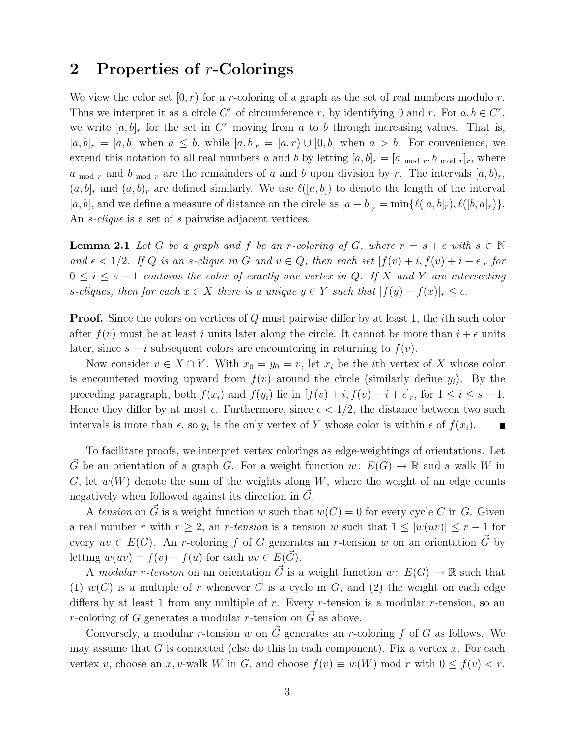### 2 Properties of r-Colorings

We view the color set  $[0, r)$  for a r-coloring of a graph as the set of real numbers modulo r. Thus we interpret it as a circle C<sup>r</sup> of circumference r, by identifying 0 and r. For  $a, b \in C^r$ , we write  $[a, b]_r$  for the set in  $C^r$  moving from a to b through increasing values. That is,  $[a, b]_r = [a, b]$  when  $a \leq b$ , while  $[a, b]_r = [a, r] \cup [0, b]$  when  $a > b$ . For convenience, we extend this notation to all real numbers a and b by letting  $[a, b]_r = [a \mod r, b \mod r]_r$ , where  $a_{mod r}$  and  $b_{mod r}$  are the remainders of a and b upon division by r. The intervals  $[a, b)_r$ ,  $(a, b]_r$  and  $(a, b)_r$  are defined similarly. We use  $\ell([a, b])$  to denote the length of the interval [a, b], and we define a measure of distance on the circle as  $|a-b|_r = \min{\ell([a,b]_r), \ell([b,a]_r)}$ . An *s*-*clique* is a set of *s* pairwise adjacent vertices.

**Lemma 2.1** Let G be a graph and f be an r-coloring of G, where  $r = s + \epsilon$  with  $s \in \mathbb{N}$ and  $\epsilon < 1/2$ . If Q is an s-clique in G and  $v \in Q$ , then each set  $[f(v) + i, f(v) + i + \epsilon]_r$  for  $0 \leq i \leq s-1$  contains the color of exactly one vertex in Q. If X and Y are intersecting s-cliques, then for each  $x \in X$  there is a unique  $y \in Y$  such that  $|f(y) - f(x)|_r \leq \epsilon$ .

**Proof.** Since the colors on vertices of Q must pairwise differ by at least 1, the *i*th such color after  $f(v)$  must be at least i units later along the circle. It cannot be more than  $i + \epsilon$  units later, since  $s - i$  subsequent colors are encountering in returning to  $f(v)$ .

Now consider  $v \in X \cap Y$ . With  $x_0 = y_0 = v$ , let  $x_i$  be the *i*th vertex of X whose color is encountered moving upward from  $f(v)$  around the circle (similarly define  $y_i$ ). By the preceding paragraph, both  $f(x_i)$  and  $f(y_i)$  lie in  $[f(v) + i, f(v) + i + \epsilon]_r$ , for  $1 \le i \le s - 1$ . Hence they differ by at most  $\epsilon$ . Furthermore, since  $\epsilon < 1/2$ , the distance between two such intervals is more than  $\epsilon$ , so  $y_i$  is the only vertex of Y whose color is within  $\epsilon$  of  $f(x_i)$ .

To facilitate proofs, we interpret vertex colorings as edge-weightings of orientations. Let G be an orientation of a graph G. For a weight function  $w: E(G) \to \mathbb{R}$  and a walk W in G, let  $w(W)$  denote the sum of the weights along W, where the weight of an edge counts negatively when followed against its direction in  $\tilde{G}$ .

A tension on  $\vec{G}$  is a weight function w such that  $w(C) = 0$  for every cycle C in G. Given a real number r with  $r \geq 2$ , an r-tension is a tension w such that  $1 \leq |w(uv)| \leq r - 1$  for every  $uv \in E(G)$ . An r-coloring f of G generates an r-tension w on an orientation  $\vec{G}$  by letting  $w(uv) = f(v) - f(u)$  for each  $uv \in E(\vec{G})$ .

A modular r-tension on an orientation  $\vec{G}$  is a weight function w:  $E(G) \to \mathbb{R}$  such that (1)  $w(C)$  is a multiple of r whenever C is a cycle in G, and (2) the weight on each edge differs by at least 1 from any multiple of r. Every r-tension is a modular r-tension, so an *r*-coloring of G generates a modular *r*-tension on  $\vec{G}$  as above.

Conversely, a modular r-tension w on  $\vec{G}$  generates an r-coloring f of G as follows. We may assume that G is connected (else do this in each component). Fix a vertex x. For each vertex v, choose an x, v-walk W in G, and choose  $f(v) \equiv w(W) \mod r$  with  $0 \le f(v) < r$ .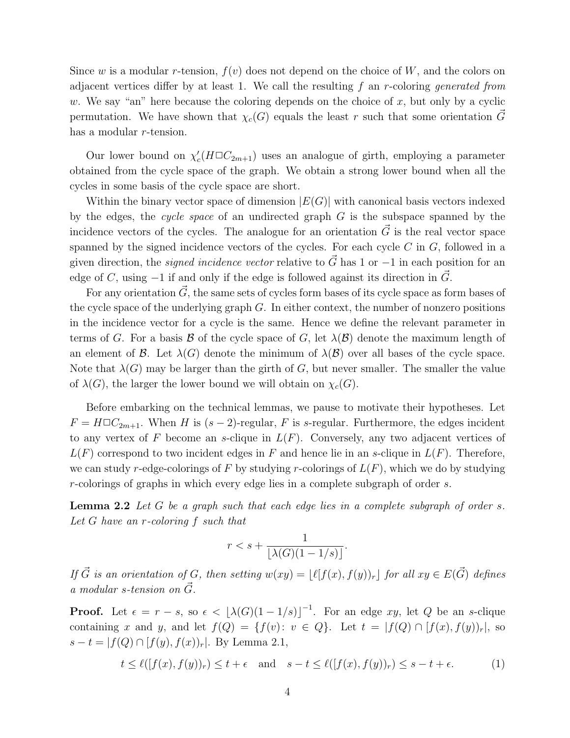Since w is a modular r-tension,  $f(v)$  does not depend on the choice of W, and the colors on adjacent vertices differ by at least 1. We call the resulting  $f$  an r-coloring generated from w. We say "an" here because the coloring depends on the choice of x, but only by a cyclic permutation. We have shown that  $\chi_c(G)$  equals the least r such that some orientation G~ has a modular r-tension.

Our lower bound on  $\chi'$  $c'(H \Box C_{2m+1})$  uses an analogue of girth, employing a parameter obtained from the cycle space of the graph. We obtain a strong lower bound when all the cycles in some basis of the cycle space are short.

Within the binary vector space of dimension  $|E(G)|$  with canonical basis vectors indexed by the edges, the cycle space of an undirected graph  $G$  is the subspace spanned by the incidence vectors of the cycles. The analogue for an orientation  $\vec{G}$  is the real vector space spanned by the signed incidence vectors of the cycles. For each cycle  $C$  in  $G$ , followed in a given direction, the *signed incidence vector* relative to  $\vec{G}$  has 1 or  $-1$  in each position for an edge of C, using  $-1$  if and only if the edge is followed against its direction in  $\vec{G}$ .

For any orientation  $\vec{G}$ , the same sets of cycles form bases of its cycle space as form bases of the cycle space of the underlying graph  $G$ . In either context, the number of nonzero positions in the incidence vector for a cycle is the same. Hence we define the relevant parameter in terms of G. For a basis B of the cycle space of G, let  $\lambda(\mathcal{B})$  denote the maximum length of an element of  $\mathcal{B}$ . Let  $\lambda(G)$  denote the minimum of  $\lambda(\mathcal{B})$  over all bases of the cycle space. Note that  $\lambda(G)$  may be larger than the girth of G, but never smaller. The smaller the value of  $\lambda(G)$ , the larger the lower bound we will obtain on  $\chi_c(G)$ .

Before embarking on the technical lemmas, we pause to motivate their hypotheses. Let  $F = H \Box C_{2m+1}$ . When H is  $(s-2)$ -regular, F is s-regular. Furthermore, the edges incident to any vertex of F become an s-clique in  $L(F)$ . Conversely, any two adjacent vertices of  $L(F)$  correspond to two incident edges in F and hence lie in an s-clique in  $L(F)$ . Therefore, we can study r-edge-colorings of F by studying r-colorings of  $L(F)$ , which we do by studying r-colorings of graphs in which every edge lies in a complete subgraph of order s.

**Lemma 2.2** Let G be a graph such that each edge lies in a complete subgraph of order s. Let G have an r-coloring f such that

$$
r < s + \frac{1}{\lfloor \lambda(G)(1 - 1/s) \rfloor}.
$$

If  $\vec{G}$  is an orientation of G, then setting  $w(xy) = \lfloor \ell[f(x), f(y))_r \rfloor$  for all  $xy \in E(\vec{G})$  defines a modular s-tension on  $\check G$ .

**Proof.** Let  $\epsilon = r - s$ , so  $\epsilon < \lfloor \lambda(G)(1 - 1/s) \rfloor^{-1}$ . For an edge xy, let Q be an s-clique containing x and y, and let  $f(Q) = \{f(v): v \in Q\}$ . Let  $t = |f(Q) \cap [f(x), f(y))_r|$ , so  $s - t = |f(Q) \cap [f(y), f(x))_r|$ . By Lemma 2.1,

$$
t \le \ell([f(x), f(y))_r) \le t + \epsilon \quad \text{and} \quad s - t \le \ell([f(x), f(y))_r) \le s - t + \epsilon. \tag{1}
$$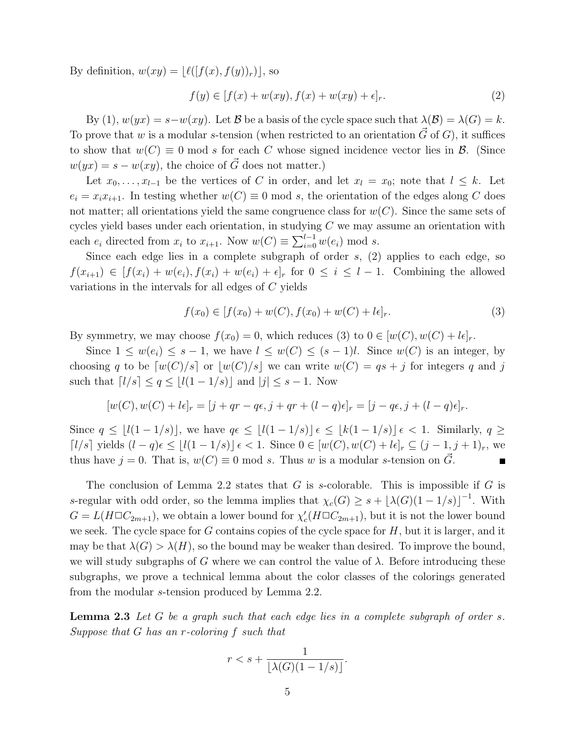By definition,  $w(xy) = |\ell([f(x), f(y))_r)|$ , so

$$
f(y) \in [f(x) + w(xy), f(x) + w(xy) + \epsilon]_r.
$$
 (2)

By (1),  $w(yx) = s - w(xy)$ . Let B be a basis of the cycle space such that  $\lambda(\mathcal{B}) = \lambda(G) = k$ . To prove that w is a modular s-tension (when restricted to an orientation  $\vec{G}$  of G), it suffices to show that  $w(C) \equiv 0 \mod s$  for each C whose signed incidence vector lies in B. (Since  $w(yx) = s - w(xy)$ , the choice of  $\vec{G}$  does not matter.)

Let  $x_0, \ldots, x_{l-1}$  be the vertices of C in order, and let  $x_l = x_0$ ; note that  $l \leq k$ . Let  $e_i = x_i x_{i+1}$ . In testing whether  $w(C) \equiv 0 \mod s$ , the orientation of the edges along C does not matter; all orientations yield the same congruence class for  $w(C)$ . Since the same sets of cycles yield bases under each orientation, in studying  $C$  we may assume an orientation with each  $e_i$  directed from  $x_i$  to  $x_{i+1}$ . Now  $w(C) \equiv \sum_{i=0}^{l-1} w(e_i)$  mod s.

Since each edge lies in a complete subgraph of order  $s$ ,  $(2)$  applies to each edge, so  $f(x_{i+1}) \in [f(x_i) + w(e_i), f(x_i) + w(e_i) + \epsilon]$  for  $0 \leq i \leq l-1$ . Combining the allowed variations in the intervals for all edges of C yields

$$
f(x_0) \in [f(x_0) + w(C), f(x_0) + w(C) + l\epsilon]_r.
$$
\n(3)

By symmetry, we may choose  $f(x_0) = 0$ , which reduces (3) to  $0 \in [w(C), w(C) + l\epsilon]_r$ .

Since  $1 \leq w(e_i) \leq s-1$ , we have  $l \leq w(C) \leq (s-1)l$ . Since  $w(C)$  is an integer, by choosing q to be  $[w(C)/s]$  or  $|w(C)/s|$  we can write  $w(C) = qs + j$  for integers q and j such that  $\lceil l/s \rceil \le q \le \lfloor l(1-1/s) \rfloor$  and  $|j| \le s-1$ . Now

$$
[w(C), w(C) + l\epsilon]_r = [j + qr - q\epsilon, j + qr + (l - q)\epsilon]_r = [j - q\epsilon, j + (l - q)\epsilon]_r.
$$

Since  $q \leq |l(1-1/s)|$ , we have  $q \in \lfloor l(1-1/s) \rfloor \epsilon \leq |k(1-1/s)| \epsilon < 1$ . Similarly,  $q \geq$  $\lceil l/s \rceil$  yields  $(l - q)\epsilon \leq |l(1 - 1/s)| \epsilon < 1$ . Since  $0 \in [w(C), w(C) + l\epsilon]_r \subseteq (j - 1, j + 1)_r$ , we thus have  $j = 0$ . That is,  $w(C) \equiv 0 \mod s$ . Thus w is a modular s-tension on  $\tilde{G}$ .  $\blacksquare$ 

The conclusion of Lemma 2.2 states that G is s-colorable. This is impossible if G is s-regular with odd order, so the lemma implies that  $\chi_c(G) \geq s + \lfloor \lambda(G)(1-1/s) \rfloor^{-1}$ . With  $G = L(H \Box C_{2m+1}),$  we obtain a lower bound for  $\chi'$  $c'_{c}(H \square C_{2m+1}),$  but it is not the lower bound we seek. The cycle space for  $G$  contains copies of the cycle space for  $H$ , but it is larger, and it may be that  $\lambda(G) > \lambda(H)$ , so the bound may be weaker than desired. To improve the bound, we will study subgraphs of G where we can control the value of  $\lambda$ . Before introducing these subgraphs, we prove a technical lemma about the color classes of the colorings generated from the modular s-tension produced by Lemma 2.2.

**Lemma 2.3** Let G be a graph such that each edge lies in a complete subgraph of order s. Suppose that G has an r-coloring f such that

$$
r < s + \frac{1}{\lfloor \lambda(G)(1 - 1/s) \rfloor}.
$$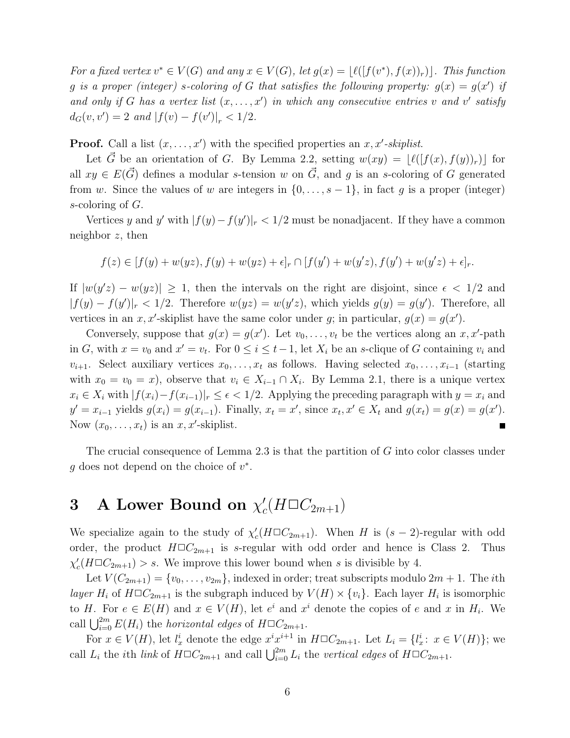For a fixed vertex  $v^* \in V(G)$  and any  $x \in V(G)$ , let  $g(x) = \lfloor \ell([f(v^*), f(x))_r) \rfloor$ . This function g is a proper (integer) s-coloring of G that satisfies the following property:  $g(x) = g(x')$  if and only if G has a vertex list  $(x, \ldots, x')$  in which any consecutive entries v and v' satisfy  $d_G(v, v') = 2$  and  $|f(v) - f(v')|_r < 1/2$ .

**Proof.** Call a list  $(x, \ldots, x')$  with the specified properties an  $x, x'$ -skiplist.

Let  $\vec{G}$  be an orientation of G. By Lemma 2.2, setting  $w(xy) = |\ell([f(x), f(y))_r)|$  for all  $xy \in E(\vec{G})$  defines a modular s-tension w on  $\vec{G}$ , and g is an s-coloring of G generated from w. Since the values of w are integers in  $\{0, \ldots, s-1\}$ , in fact g is a proper (integer) s-coloring of G.

Vertices y and y' with  $|f(y) - f(y')|_{r} < 1/2$  must be nonadjacent. If they have a common neighbor  $z$ , then

$$
f(z) \in [f(y) + w(yz), f(y) + w(yz) + \epsilon]_r \cap [f(y') + w(y'z), f(y') + w(y'z) + \epsilon]_r.
$$

If  $|w(y'z) - w(yz)| \geq 1$ , then the intervals on the right are disjoint, since  $\epsilon < 1/2$  and  $|f(y) - f(y')|_r < 1/2$ . Therefore  $w(yz) = w(y'z)$ , which yields  $g(y) = g(y')$ . Therefore, all vertices in an x, x'-skiplist have the same color under g; in particular,  $g(x) = g(x')$ .

Conversely, suppose that  $g(x) = g(x')$ . Let  $v_0, \ldots, v_t$  be the vertices along an  $x, x'$ -path in G, with  $x = v_0$  and  $x' = v_t$ . For  $0 \le i \le t-1$ , let  $X_i$  be an s-clique of G containing  $v_i$  and  $v_{i+1}$ . Select auxiliary vertices  $x_0, \ldots, x_t$  as follows. Having selected  $x_0, \ldots, x_{i-1}$  (starting with  $x_0 = v_0 = x$ , observe that  $v_i \in X_{i-1} \cap X_i$ . By Lemma 2.1, there is a unique vertex  $x_i \in X_i$  with  $|f(x_i)-f(x_{i-1})|$   $\leq \epsilon \leq 1/2$ . Applying the preceding paragraph with  $y = x_i$  and  $y' = x_{i-1}$  yields  $g(x_i) = g(x_{i-1})$ . Finally,  $x_t = x'$ , since  $x_t, x' \in X_t$  and  $g(x_t) = g(x) = g(x')$ . Now  $(x_0, \ldots, x_t)$  is an  $x, x'$ -skiplist.

The crucial consequence of Lemma 2.3 is that the partition of G into color classes under  $g$  does not depend on the choice of  $v^*$ .

### 3 A Lower Bound on  $\chi'$  $c'(H \square C_{2m+1})$

We specialize again to the study of  $\chi'$  $c'(H \Box C_{2m+1})$ . When H is  $(s-2)$ -regular with odd order, the product  $H\Box C_{2m+1}$  is s-regular with odd order and hence is Class 2. Thus χ ′  $C_c(H \Box C_{2m+1}) > s$ . We improve this lower bound when s is divisible by 4.

Let  $V(C_{2m+1}) = \{v_0, \ldots, v_{2m}\}\$ , indexed in order; treat subscripts modulo  $2m + 1$ . The *i*th layer  $H_i$  of  $H \square C_{2m+1}$  is the subgraph induced by  $V(H) \times \{v_i\}$ . Each layer  $H_i$  is isomorphic to H. For  $e \in E(H)$  and  $x \in V(H)$ , let  $e^i$  and  $x^i$  denote the copies of e and x in  $H_i$ . We call  $\bigcup_{i=0}^{2m} E(H_i)$  the *horizontal edges* of  $H\Box C_{2m+1}$ .

For  $x \in V(H)$ , let  $l_x^i$  denote the edge  $x^i x^{i+1}$  in  $H \square C_{2m+1}$ . Let  $L_i = \{l_x^i : x \in V(H)\}$ ; we call  $L_i$  the *i*th *link* of  $H\Box C_{2m+1}$  and call  $\bigcup_{i=0}^{2m} L_i$  the vertical edges of  $H\Box C_{2m+1}$ .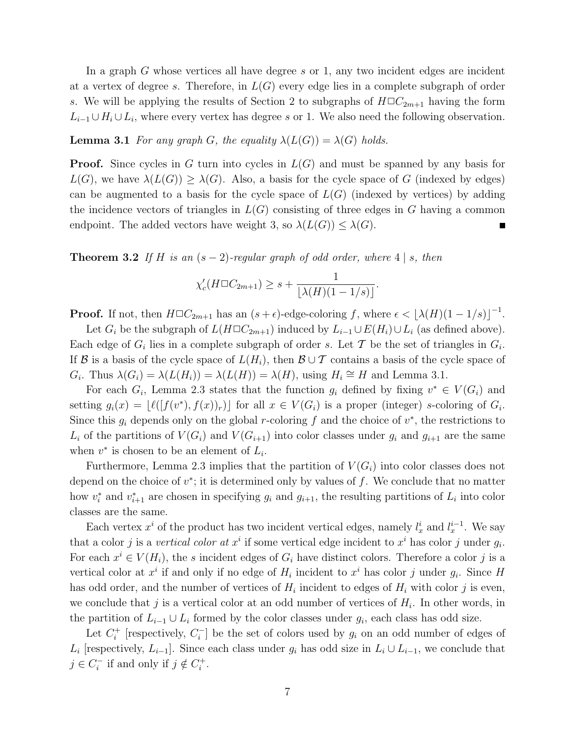In a graph  $G$  whose vertices all have degree  $s$  or 1, any two incident edges are incident at a vertex of degree s. Therefore, in  $L(G)$  every edge lies in a complete subgraph of order s. We will be applying the results of Section 2 to subgraphs of  $H\Box C_{2m+1}$  having the form  $L_{i-1} \cup H_i \cup L_i$ , where every vertex has degree s or 1. We also need the following observation.

**Lemma 3.1** For any graph G, the equality  $\lambda(L(G)) = \lambda(G)$  holds.

**Proof.** Since cycles in G turn into cycles in  $L(G)$  and must be spanned by any basis for  $L(G)$ , we have  $\lambda(L(G)) \geq \lambda(G)$ . Also, a basis for the cycle space of G (indexed by edges) can be augmented to a basis for the cycle space of  $L(G)$  (indexed by vertices) by adding the incidence vectors of triangles in  $L(G)$  consisting of three edges in G having a common endpoint. The added vectors have weight 3, so  $\lambda(L(G)) \leq \lambda(G)$ .

**Theorem 3.2** If H is an  $(s - 2)$ -regular graph of odd order, where 4 | s, then

$$
\chi_c'(H \square C_{2m+1}) \geq s + \frac{1}{\lfloor \lambda(H)(1 - 1/s) \rfloor}.
$$

**Proof.** If not, then  $H \square C_{2m+1}$  has an  $(s+\epsilon)$ -edge-coloring f, where  $\epsilon < \lfloor \lambda(H)(1-1/s) \rfloor^{-1}$ .

Let  $G_i$  be the subgraph of  $L(H\Box C_{2m+1})$  induced by  $L_{i-1} \cup E(H_i) \cup L_i$  (as defined above). Each edge of  $G_i$  lies in a complete subgraph of order s. Let T be the set of triangles in  $G_i$ . If B is a basis of the cycle space of  $L(H_i)$ , then  $\mathcal{B} \cup \mathcal{T}$  contains a basis of the cycle space of  $G_i$ . Thus  $\lambda(G_i) = \lambda(L(H_i)) = \lambda(L(H)) = \lambda(H)$ , using  $H_i \cong H$  and Lemma 3.1.

For each  $G_i$ , Lemma 2.3 states that the function  $g_i$  defined by fixing  $v^* \in V(G_i)$  and setting  $g_i(x) = \lfloor \ell([f(v^*), f(x))_r) \rfloor$  for all  $x \in V(G_i)$  is a proper (integer) s-coloring of  $G_i$ . Since this  $g_i$  depends only on the global r-coloring f and the choice of  $v^*$ , the restrictions to  $L_i$  of the partitions of  $V(G_i)$  and  $V(G_{i+1})$  into color classes under  $g_i$  and  $g_{i+1}$  are the same when  $v^*$  is chosen to be an element of  $L_i$ .

Furthermore, Lemma 2.3 implies that the partition of  $V(G_i)$  into color classes does not depend on the choice of  $v^*$ ; it is determined only by values of f. We conclude that no matter how  $v_i^*$ \* and  $v_{i+1}^*$  are chosen in specifying  $g_i$  and  $g_{i+1}$ , the resulting partitions of  $L_i$  into color classes are the same.

Each vertex  $x^i$  of the product has two incident vertical edges, namely  $l_x^i$  and  $l_x^{i-1}$ . We say that a color j is a vertical color at  $x^i$  if some vertical edge incident to  $x^i$  has color j under  $g_i$ . For each  $x^i \in V(H_i)$ , the s incident edges of  $G_i$  have distinct colors. Therefore a color j is a vertical color at  $x^i$  if and only if no edge of  $H_i$  incident to  $x^i$  has color j under  $g_i$ . Since H has odd order, and the number of vertices of  $H_i$  incident to edges of  $H_i$  with color j is even, we conclude that  $j$  is a vertical color at an odd number of vertices of  $H_i$ . In other words, in the partition of  $L_{i-1} \cup L_i$  formed by the color classes under  $g_i$ , each class has odd size.

Let  $C_i^+$ <sup> $t_i^+$ </sup> [respectively,  $C_i^ [i]$  be the set of colors used by  $g_i$  on an odd number of edges of  $L_i$  [respectively,  $L_{i-1}$ ]. Since each class under  $g_i$  has odd size in  $L_i \cup L_{i-1}$ , we conclude that  $j \in C_i^$  $i_i$ <sup>-</sup> if and only if  $j \notin C_i^+$  $\frac{i}{i}$ .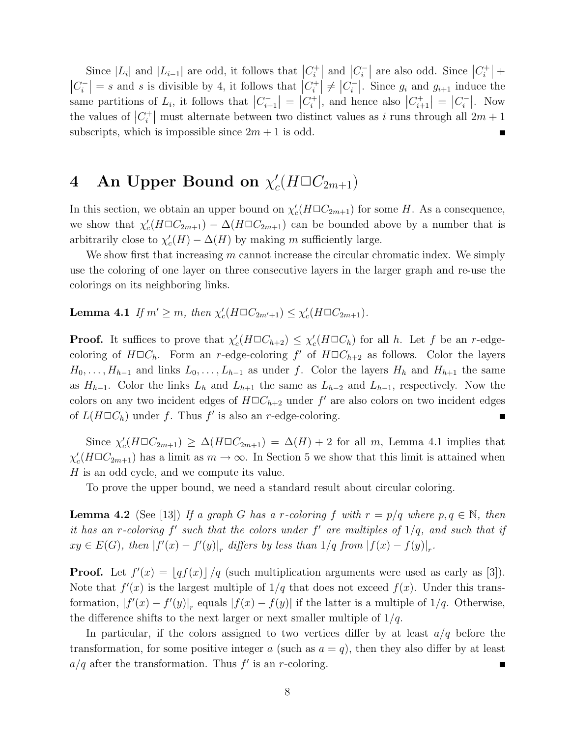Since  $|L_i|$  and  $|L_{i-1}|$  are odd, it follows that  $|C_i^+|$  $\binom{r}{i}$  and  $\binom{C_i^-}{\cdot}$  $\left|C_i\right|$  are also odd. Since  $|C_i^+|$  $\binom{+}{i}$  +  $\big|C_i^ \left| \begin{array}{c} \n\overline{\phantom{a}}_i^{\phantom{\dagger}} \n\end{array} \right| = s$  and s is divisible by 4, it follows that  $\left| C_i^+ \right|$  $\left| \begin{array}{c} a^{+} \\ b^{-} \end{array} \right| \neq \left| C_{i}^{-} \right|$  $\left| \begin{array}{c} i \\ i \end{array} \right|$ . Since  $g_i$  and  $g_{i+1}$  induce the same partitions of  $L_i$ , it follows that  $|C_{i+1}|$  $\left| \begin{array}{c} - \\ - \\ \end{array} \right| = \left| C^+_i \right|$  $\left|C_{i}^{+}\right|$ , and hence also  $\left|C_{i+}\right|$  $\left| \begin{array}{c} u_{i+1}^+ \\ v_{i+1}^- \end{array} \right| = \left| C_i^- \right|$  $\begin{bmatrix} - \\ i \end{bmatrix}$ . Now the values of  $|C_i^+|$ <sup> $n+1$ </sup> must alternate between two distinct values as i runs through all  $2m+1$ subscripts, which is impossible since  $2m + 1$  is odd.

### 4 An Upper Bound on  $\chi'_{c}$  $c'(H \square C_{2m+1})$

In this section, we obtain an upper bound on  $\chi'$  $c'_{c}(H \square C_{2m+1})$  for some H. As a consequence, we show that  $\chi'$  $C_c(H\Box C_{2m+1}) - \Delta(H\Box C_{2m+1})$  can be bounded above by a number that is arbitrarily close to  $\chi'$  $c'(H) - \Delta(H)$  by making m sufficiently large.

We show first that increasing  $m$  cannot increase the circular chromatic index. We simply use the coloring of one layer on three consecutive layers in the larger graph and re-use the colorings on its neighboring links.

**Lemma 4.1** If  $m' \geq m$ , then  $\chi'$  $\chi'_{c}(H \square C_{2m'+1}) \leq \chi'_{c}$  $c'_{c}(H \square C_{2m+1}).$ 

**Proof.** It suffices to prove that  $\chi'$  $\chi'_{c}(H \square C_{h+2}) \leq \chi'_{c}$  $c'_{c}(H\Box C_{h})$  for all h. Let f be an r-edgecoloring of  $H\Box C_h$ . Form an r-edge-coloring f' of  $H\Box C_{h+2}$  as follows. Color the layers  $H_0, \ldots, H_{h-1}$  and links  $L_0, \ldots, L_{h-1}$  as under f. Color the layers  $H_h$  and  $H_{h+1}$  the same as  $H_{h-1}$ . Color the links  $L_h$  and  $L_{h+1}$  the same as  $L_{h-2}$  and  $L_{h-1}$ , respectively. Now the colors on any two incident edges of  $H\square C_{h+2}$  under  $f'$  are also colors on two incident edges of  $L(H \Box C_h)$  under f. Thus f' is also an r-edge-coloring. П

Since  $\chi'_{c}$  $C_c(H\Box C_{2m+1}) \geq \Delta(H\Box C_{2m+1}) = \Delta(H) + 2$  for all m, Lemma 4.1 implies that χ ′  $c'(H \Box C_{2m+1})$  has a limit as  $m \to \infty$ . In Section 5 we show that this limit is attained when H is an odd cycle, and we compute its value.

To prove the upper bound, we need a standard result about circular coloring.

**Lemma 4.2** (See [13]) If a graph G has a r-coloring f with  $r = p/q$  where  $p, q \in \mathbb{N}$ , then it has an r-coloring  $f'$  such that the colors under  $f'$  are multiples of  $1/q$ , and such that if  $xy \in E(G)$ , then  $|f'(x) - f'(y)|_r$  differs by less than  $1/q$  from  $|f(x) - f(y)|_r$ .

**Proof.** Let  $f'(x) = \lfloor qf(x) \rfloor / q$  (such multiplication arguments were used as early as [3]). Note that  $f'(x)$  is the largest multiple of  $1/q$  that does not exceed  $f(x)$ . Under this transformation,  $|f'(x) - f'(y)|_r$  equals  $|f(x) - f(y)|$  if the latter is a multiple of 1/q. Otherwise, the difference shifts to the next larger or next smaller multiple of  $1/q$ .

In particular, if the colors assigned to two vertices differ by at least  $a/q$  before the transformation, for some positive integer a (such as  $a = q$ ), then they also differ by at least  $a/q$  after the transformation. Thus  $f'$  is an r-coloring. п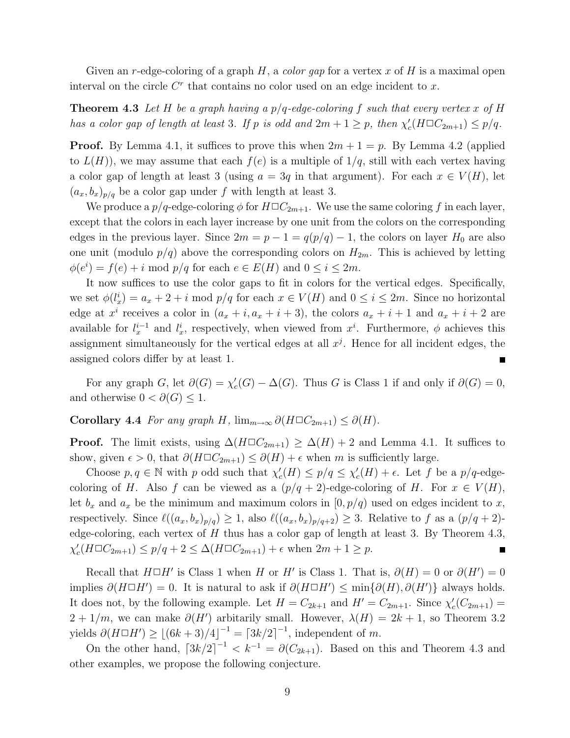Given an r-edge-coloring of a graph  $H$ , a *color gap* for a vertex x of H is a maximal open interval on the circle  $C<sup>r</sup>$  that contains no color used on an edge incident to x.

**Theorem 4.3** Let H be a graph having a  $p/q$ -edge-coloring f such that every vertex x of H has a color gap of length at least 3. If p is odd and  $2m + 1 \geq p$ , then  $\chi'$  $c'_{c}(H \square C_{2m+1}) \leq p/q.$ 

**Proof.** By Lemma 4.1, it suffices to prove this when  $2m + 1 = p$ . By Lemma 4.2 (applied to  $L(H)$ , we may assume that each  $f(e)$  is a multiple of  $1/q$ , still with each vertex having a color gap of length at least 3 (using  $a = 3q$  in that argument). For each  $x \in V(H)$ , let  $(a_x, b_x)_{p/q}$  be a color gap under f with length at least 3.

We produce a  $p/q$ -edge-coloring  $\phi$  for  $H\Box C_{2m+1}$ . We use the same coloring f in each layer, except that the colors in each layer increase by one unit from the colors on the corresponding edges in the previous layer. Since  $2m = p - 1 = q(p/q) - 1$ , the colors on layer  $H_0$  are also one unit (modulo  $p/q$ ) above the corresponding colors on  $H_{2m}$ . This is achieved by letting  $\phi(e^i) = f(e) + i \mod p/q$  for each  $e \in E(H)$  and  $0 \le i \le 2m$ .

It now suffices to use the color gaps to fit in colors for the vertical edges. Specifically, we set  $\phi(l_x^i) = a_x + 2 + i \mod p/q$  for each  $x \in V(H)$  and  $0 \le i \le 2m$ . Since no horizontal edge at  $x^i$  receives a color in  $(a_x + i, a_x + i + 3)$ , the colors  $a_x + i + 1$  and  $a_x + i + 2$  are available for  $l_x^{i-1}$  and  $l_x^i$ , respectively, when viewed from  $x^i$ . Furthermore,  $\phi$  achieves this assignment simultaneously for the vertical edges at all  $x<sup>j</sup>$ . Hence for all incident edges, the assigned colors differ by at least 1.

For any graph G, let  $\partial(G) = \chi'_{G}$  $c'_{c}(G) - \Delta(G)$ . Thus G is Class 1 if and only if  $\partial(G) = 0$ , and otherwise  $0 < \partial(G) \leq 1$ .

Corollary 4.4 For any graph H,  $\lim_{m\to\infty} \partial(H\Box C_{2m+1}) \leq \partial(H)$ .

**Proof.** The limit exists, using  $\Delta(H\Box C_{2m+1}) \geq \Delta(H) + 2$  and Lemma 4.1. It suffices to show, given  $\epsilon > 0$ , that  $\partial(H \Box C_{2m+1}) \leq \partial(H) + \epsilon$  when m is sufficiently large.

Choose  $p, q \in \mathbb{N}$  with p odd such that  $\chi'$  $c'(H) \leq p/q \leq \chi'_c$  $c<sub>c</sub>(H) + \epsilon$ . Let f be a  $p/q$ -edgecoloring of H. Also f can be viewed as a  $(p/q + 2)$ -edge-coloring of H. For  $x \in V(H)$ , let  $b_x$  and  $a_x$  be the minimum and maximum colors in  $[0, p/q)$  used on edges incident to x, respectively. Since  $\ell((a_x, b_x)_{p/q}) \geq 1$ , also  $\ell((a_x, b_x)_{p/q+2}) \geq 3$ . Relative to f as a  $(p/q + 2)$ edge-coloring, each vertex of  $H$  thus has a color gap of length at least 3. By Theorem 4.3, χ ′  $c'_{c}(H \Box C_{2m+1}) \leq p/q + 2 \leq \Delta(H \Box C_{2m+1}) + \epsilon$  when  $2m + 1 \geq p$ .  $\blacksquare$ 

Recall that  $H \Box H'$  is Class 1 when H or H' is Class 1. That is,  $\partial(H) = 0$  or  $\partial(H') = 0$ implies  $\partial(H\Box H')=0$ . It is natural to ask if  $\partial(H\Box H')\leq \min\{\partial(H),\partial(H')\}$  always holds. It does not, by the following example. Let  $H = C_{2k+1}$  and  $H' = C_{2m+1}$ . Since  $\chi'$  $c'_{c}(C_{2m+1}) =$  $2 + 1/m$ , we can make  $\partial(H')$  arbitarily small. However,  $\lambda(H) = 2k + 1$ , so Theorem 3.2 yields  $\partial (H \Box H') \geq \lfloor (6k+3)/4 \rfloor^{-1} = \lceil 3k/2 \rceil^{-1}$ , independent of m.

On the other hand,  $\left[3k/2\right]^{-1} < k^{-1} = \partial(C_{2k+1})$ . Based on this and Theorem 4.3 and other examples, we propose the following conjecture.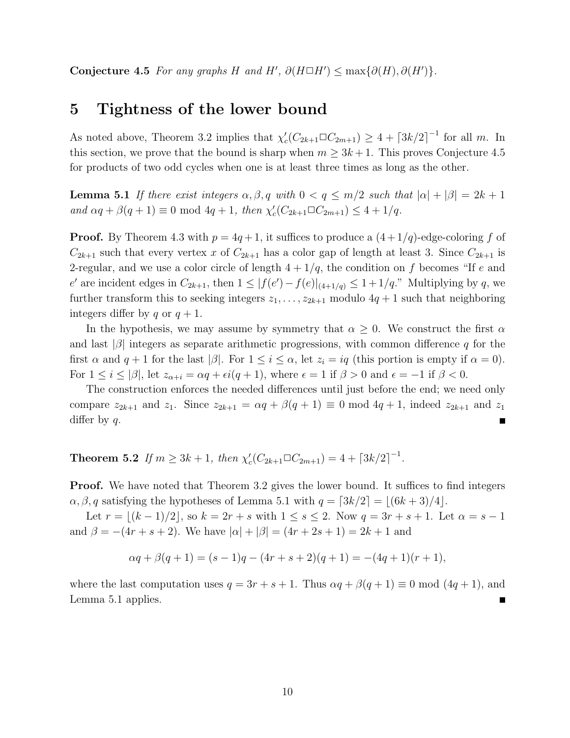Conjecture 4.5 For any graphs H and H',  $\partial(H \Box H') \leq \max{\{\partial(H), \partial(H')\}}$ .

### 5 Tightness of the lower bound

As noted above, Theorem 3.2 implies that  $\chi'$  $c'_{c}(C_{2k+1}\square C_{2m+1}) \geq 4 + \lceil 3k/2 \rceil^{-1}$  for all m. In this section, we prove that the bound is sharp when  $m \geq 3k + 1$ . This proves Conjecture 4.5 for products of two odd cycles when one is at least three times as long as the other.

**Lemma 5.1** If there exist integers  $\alpha, \beta, q$  with  $0 < q \leq m/2$  such that  $|\alpha| + |\beta| = 2k + 1$ and  $\alpha q + \beta(q+1) \equiv 0 \mod 4q + 1$ , then  $\chi'$  $c'_{c}(C_{2k+1}\square C_{2m+1}) \leq 4+1/q.$ 

**Proof.** By Theorem 4.3 with  $p = 4q + 1$ , it suffices to produce a  $(4 + 1/q)$ -edge-coloring f of  $C_{2k+1}$  such that every vertex x of  $C_{2k+1}$  has a color gap of length at least 3. Since  $C_{2k+1}$  is 2-regular, and we use a color circle of length  $4 + 1/q$ , the condition on f becomes "If e and e' are incident edges in  $C_{2k+1}$ , then  $1 \leq |f(e') - f(e)|_{(4+1/q)} \leq 1 + 1/q$ ." Multiplying by q, we further transform this to seeking integers  $z_1, \ldots, z_{2k+1}$  modulo  $4q+1$  such that neighboring integers differ by q or  $q + 1$ .

In the hypothesis, we may assume by symmetry that  $\alpha \geq 0$ . We construct the first  $\alpha$ and last  $|\beta|$  integers as separate arithmetic progressions, with common difference q for the first  $\alpha$  and  $q + 1$  for the last  $|\beta|$ . For  $1 \leq i \leq \alpha$ , let  $z_i = iq$  (this portion is empty if  $\alpha = 0$ ). For  $1 \leq i \leq |\beta|$ , let  $z_{\alpha+i} = \alpha q + \epsilon i (q+1)$ , where  $\epsilon = 1$  if  $\beta > 0$  and  $\epsilon = -1$  if  $\beta < 0$ .

The construction enforces the needed differences until just before the end; we need only compare  $z_{2k+1}$  and  $z_1$ . Since  $z_{2k+1} = \alpha q + \beta(q+1) \equiv 0 \mod 4q+1$ , indeed  $z_{2k+1}$  and  $z_1$ differ by  $q$ .

**Theorem 5.2** If  $m \geq 3k + 1$ , then  $\chi'$  $c'_{c}(C_{2k+1}\square C_{2m+1}) = 4 + \lceil 3k/2 \rceil^{-1}.$ 

**Proof.** We have noted that Theorem 3.2 gives the lower bound. It suffices to find integers  $\alpha, \beta, q$  satisfying the hypotheses of Lemma 5.1 with  $q = \lfloor 3k/2 \rfloor = \lfloor (6k+3)/4 \rfloor$ .

Let  $r = \lfloor (k-1)/2 \rfloor$ , so  $k = 2r + s$  with  $1 \le s \le 2$ . Now  $q = 3r + s + 1$ . Let  $\alpha = s - 1$ and  $\beta = -(4r + s + 2)$ . We have  $|\alpha| + |\beta| = (4r + 2s + 1) = 2k + 1$  and

$$
\alpha q + \beta(q+1) = (s-1)q - (4r+s+2)(q+1) = -(4q+1)(r+1),
$$

where the last computation uses  $q = 3r + s + 1$ . Thus  $\alpha q + \beta(q + 1) \equiv 0 \mod (4q + 1)$ , and Lemma 5.1 applies.